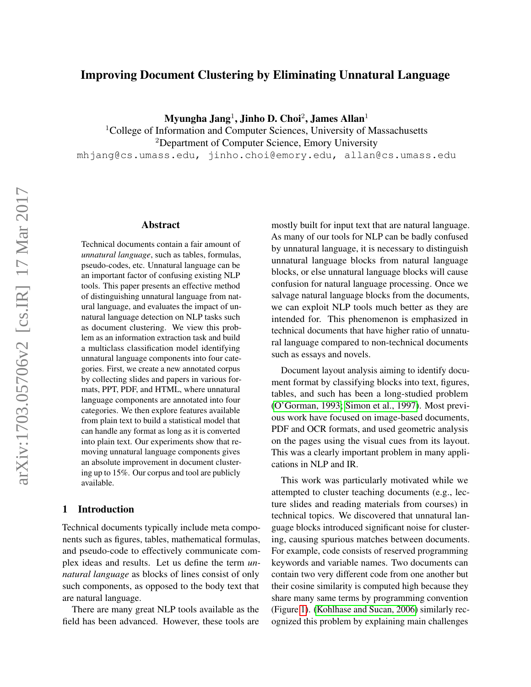# Improving Document Clustering by Eliminating Unnatural Language

 ${\rm Myungha\ Jang^1, Jinho\ D. Choi^2, James\ Allah^1}$ 

<sup>1</sup>College of Information and Computer Sciences, University of Massachusetts <sup>2</sup>Department of Computer Science, Emory University mhjang@cs.umass.edu, jinho.choi@emory.edu, allan@cs.umass.edu

## Abstract

Technical documents contain a fair amount of *unnatural language*, such as tables, formulas, pseudo-codes, etc. Unnatural language can be an important factor of confusing existing NLP tools. This paper presents an effective method of distinguishing unnatural language from natural language, and evaluates the impact of unnatural language detection on NLP tasks such as document clustering. We view this problem as an information extraction task and build a multiclass classification model identifying unnatural language components into four categories. First, we create a new annotated corpus by collecting slides and papers in various formats, PPT, PDF, and HTML, where unnatural language components are annotated into four categories. We then explore features available from plain text to build a statistical model that can handle any format as long as it is converted into plain text. Our experiments show that removing unnatural language components gives an absolute improvement in document clustering up to 15%. Our corpus and tool are publicly available.

#### 1 Introduction

Technical documents typically include meta components such as figures, tables, mathematical formulas, and pseudo-code to effectively communicate complex ideas and results. Let us define the term *unnatural language* as blocks of lines consist of only such components, as opposed to the body text that are natural language.

There are many great NLP tools available as the field has been advanced. However, these tools are mostly built for input text that are natural language. As many of our tools for NLP can be badly confused by unnatural language, it is necessary to distinguish unnatural language blocks from natural language blocks, or else unnatural language blocks will cause confusion for natural language processing. Once we salvage natural language blocks from the documents, we can exploit NLP tools much better as they are intended for. This phenomenon is emphasized in technical documents that have higher ratio of unnatural language compared to non-technical documents such as essays and novels.

Document layout analysis aiming to identify document format by classifying blocks into text, figures, tables, and such has been a long-studied problem [\(O'Gorman, 1993;](#page-8-0) [Simon et al., 1997\)](#page-8-1). Most previous work have focused on image-based documents, PDF and OCR formats, and used geometric analysis on the pages using the visual cues from its layout. This was a clearly important problem in many applications in NLP and IR.

This work was particularly motivated while we attempted to cluster teaching documents (e.g., lecture slides and reading materials from courses) in technical topics. We discovered that unnatural language blocks introduced significant noise for clustering, causing spurious matches between documents. For example, code consists of reserved programming keywords and variable names. Two documents can contain two very different code from one another but their cosine similarity is computed high because they share many same terms by programming convention (Figure [1\)](#page-1-0). [\(Kohlhase and Sucan, 2006\)](#page-8-2) similarly recognized this problem by explaining main challenges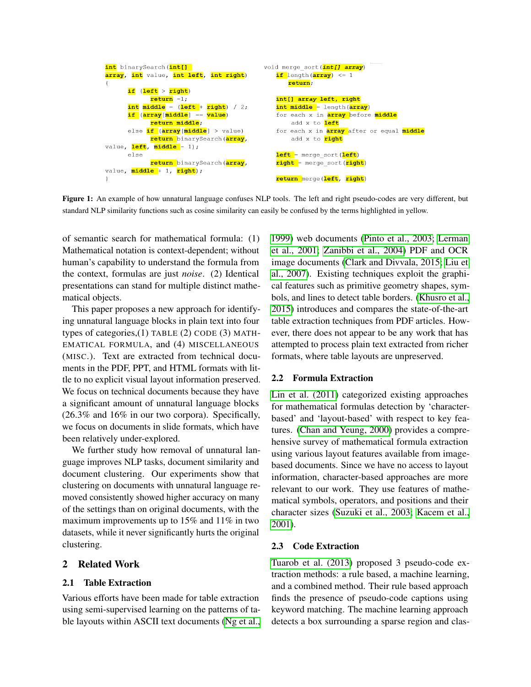```
int binarySearch (int[]
                                                  void merge sort (intll arrav)
array, int value, int left, int right)
                                                     if length(array) <= 1
\left\{ \right.return;
       if (left > right)
                                                     int[] array left, right
              return -1;
       int middle = (<mark>left + right</mark>) / 2;
                                                     int middle = length (array)
       if (array[middle] == value)
                                                     for each x in array before middle
              return middle;
                                                          add x to left
       else if (array [middle] > value)
                                                     for each x in array after or equal middle
              return binarySearch (array,
                                                          add x to <mark>right</mark>
value, left, middle - 1);
       else
                                                     left = merge_sort(left)
              return binarySearch(<mark>array</mark>,
                                                     right = merge sort (right)
value, middle + 1, right);
                                                     return merge (left, right)
\overline{\phantom{a}}
```
<span id="page-1-0"></span>Figure 1: An example of how unnatural language confuses NLP tools. The left and right pseudo-codes are very different, but standard NLP similarity functions such as cosine similarity can easily be confused by the terms highlighted in yellow.

of semantic search for mathematical formula: (1) Mathematical notation is context-dependent; without human's capability to understand the formula from the context, formulas are just *noise*. (2) Identical presentations can stand for multiple distinct mathematical objects.

This paper proposes a new approach for identifying unnatural language blocks in plain text into four types of categories,(1) TABLE (2) CODE (3) MATH-EMATICAL FORMULA, and (4) MISCELLANEOUS (MISC.). Text are extracted from technical documents in the PDF, PPT, and HTML formats with little to no explicit visual layout information preserved. We focus on technical documents because they have a significant amount of unnatural language blocks (26.3% and 16% in our two corpora). Specifically, we focus on documents in slide formats, which have been relatively under-explored.

We further study how removal of unnatural language improves NLP tasks, document similarity and document clustering. Our experiments show that clustering on documents with unnatural language removed consistently showed higher accuracy on many of the settings than on original documents, with the maximum improvements up to 15% and 11% in two datasets, while it never significantly hurts the original clustering.

## 2 Related Work

#### 2.1 Table Extraction

Various efforts have been made for table extraction using semi-supervised learning on the patterns of table layouts within ASCII text documents [\(Ng et al.,](#page-8-3) [1999\)](#page-8-3) web documents [\(Pinto et al., 2003;](#page-8-4) [Lerman](#page-8-5) [et al., 2001;](#page-8-5) [Zanibbi et al., 2004\)](#page-9-0) PDF and OCR image documents [\(Clark and Divvala, 2015;](#page-8-6) [Liu et](#page-8-7) [al., 2007\)](#page-8-7). Existing techniques exploit the graphical features such as primitive geometry shapes, symbols, and lines to detect table borders. [\(Khusro et al.,](#page-8-8) [2015\)](#page-8-8) introduces and compares the state-of-the-art table extraction techniques from PDF articles. However, there does not appear to be any work that has attempted to process plain text extracted from richer formats, where table layouts are unpreserved.

### 2.2 Formula Extraction

[Lin et al. \(2011\)](#page-8-9) categorized existing approaches for mathematical formulas detection by 'characterbased' and 'layout-based' with respect to key features. [\(Chan and Yeung, 2000\)](#page-8-10) provides a comprehensive survey of mathematical formula extraction using various layout features available from imagebased documents. Since we have no access to layout information, character-based approaches are more relevant to our work. They use features of mathematical symbols, operators, and positions and their character sizes [\(Suzuki et al., 2003;](#page-9-1) [Kacem et al.,](#page-8-11) [2001\)](#page-8-11).

#### 2.3 Code Extraction

[Tuarob et al. \(2013\)](#page-9-2) proposed 3 pseudo-code extraction methods: a rule based, a machine learning, and a combined method. Their rule based approach finds the presence of pseudo-code captions using keyword matching. The machine learning approach detects a box surrounding a sparse region and clas-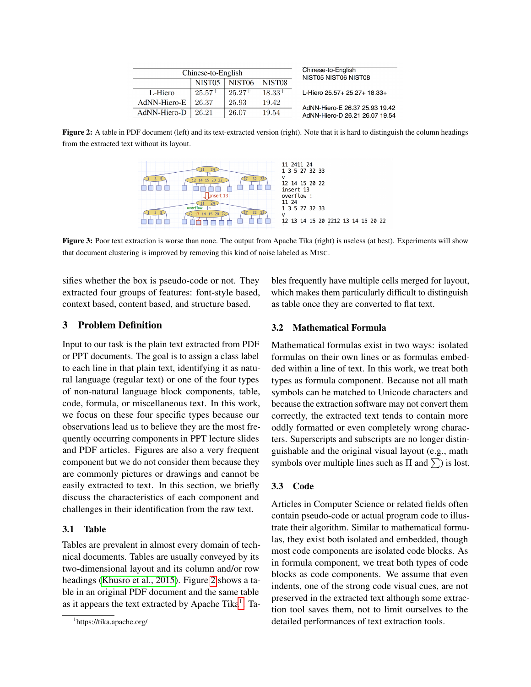|              | Chinese-to-English | Chinese-to-English<br>NIST05 NIST06 NIST08 |                    |                                |
|--------------|--------------------|--------------------------------------------|--------------------|--------------------------------|
|              | NIST <sub>05</sub> | NIST <sub>06</sub>                         | NIST <sub>08</sub> |                                |
| L-Hiero      | $25.57+$           | $25.27+$                                   | $18.33+$           | L-Hiero 25.57+ 25.27+ 18.33+   |
| AdNN-Hiero-E | 26.37              | 25.93                                      | 19.42              | AdNN-Hiero-E 26.37 25.93 19.42 |
| AdNN-Hiero-D | 26 21              | 26.07                                      | 19.54              | AdNN-Hiero-D 26.21 26.07 19.54 |

<span id="page-2-0"></span>Figure 2: A table in PDF document (left) and its text-extracted version (right). Note that it is hard to distinguish the column headings from the extracted text without its layout.



<span id="page-2-2"></span>Figure 3: Poor text extraction is worse than none. The output from Apache Tika (right) is useless (at best). Experiments will show that document clustering is improved by removing this kind of noise labeled as MISC.

sifies whether the box is pseudo-code or not. They extracted four groups of features: font-style based, context based, content based, and structure based.

## 3 Problem Definition

Input to our task is the plain text extracted from PDF or PPT documents. The goal is to assign a class label to each line in that plain text, identifying it as natural language (regular text) or one of the four types of non-natural language block components, table, code, formula, or miscellaneous text. In this work, we focus on these four specific types because our observations lead us to believe they are the most frequently occurring components in PPT lecture slides and PDF articles. Figures are also a very frequent component but we do not consider them because they are commonly pictures or drawings and cannot be easily extracted to text. In this section, we briefly discuss the characteristics of each component and challenges in their identification from the raw text.

## 3.1 Table

Tables are prevalent in almost every domain of technical documents. Tables are usually conveyed by its two-dimensional layout and its column and/or row headings [\(Khusro et al., 2015\)](#page-8-8). Figure [2](#page-2-0) shows a table in an original PDF document and the same table as it appears the text extracted by Apache Tika<sup>[1](#page-2-1)</sup>. Tables frequently have multiple cells merged for layout, which makes them particularly difficult to distinguish as table once they are converted to flat text.

#### 3.2 Mathematical Formula

Mathematical formulas exist in two ways: isolated formulas on their own lines or as formulas embedded within a line of text. In this work, we treat both types as formula component. Because not all math symbols can be matched to Unicode characters and because the extraction software may not convert them correctly, the extracted text tends to contain more oddly formatted or even completely wrong characters. Superscripts and subscripts are no longer distinguishable and the original visual layout (e.g., math symbols over multiple lines such as  $\Pi$  and  $\Sigma$ ) is lost.

## 3.3 Code

Articles in Computer Science or related fields often contain pseudo-code or actual program code to illustrate their algorithm. Similar to mathematical formulas, they exist both isolated and embedded, though most code components are isolated code blocks. As in formula component, we treat both types of code blocks as code components. We assume that even indents, one of the strong code visual cues, are not preserved in the extracted text although some extraction tool saves them, not to limit ourselves to the detailed performances of text extraction tools.

<span id="page-2-1"></span><sup>1</sup> https://tika.apache.org/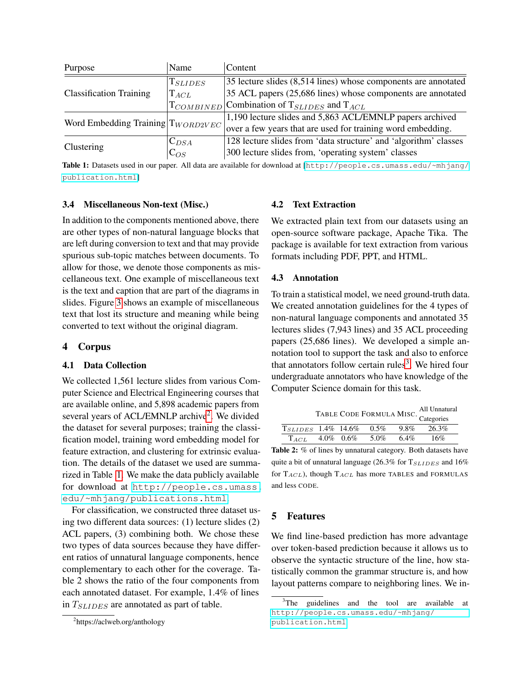| Purpose                        | Name                                     | Content                                                               |  |
|--------------------------------|------------------------------------------|-----------------------------------------------------------------------|--|
|                                | $\mathrm{T}_{SLIDES}$                    | $ 35 $ lecture slides $(8,514)$ lines) whose components are annotated |  |
| <b>Classification Training</b> | $\mathrm{T}_{ACL}$                       | 35 ACL papers (25,686 lines) whose components are annotated           |  |
|                                |                                          | $T_{COMBINED}$ Combination of $T_{SLIDES}$ and $T_{ACL}$              |  |
|                                | Word Embedding Training $ T_{WORD2VEC} $ | 1,190 lecture slides and 5,863 ACL/EMNLP papers archived              |  |
|                                |                                          | over a few years that are used for training word embedding.           |  |
|                                | $C_{DSA}$                                | 128 lecture slides from 'data structure' and 'algorithm' classes      |  |
| Clustering                     | $C_{OS}$                                 | 300 lecture slides from, 'operating system' classes                   |  |

<span id="page-3-1"></span>Table 1: Datasets used in our paper. All data are available for download at [[http://people.cs.umass.edu/~mhjang/](http://people.cs.umass.edu/~mhjang/publication.html) [publication.html](http://people.cs.umass.edu/~mhjang/publication.html)]

### 3.4 Miscellaneous Non-text (Misc.)

In addition to the components mentioned above, there are other types of non-natural language blocks that are left during conversion to text and that may provide spurious sub-topic matches between documents. To allow for those, we denote those components as miscellaneous text. One example of miscellaneous text is the text and caption that are part of the diagrams in slides. Figure [3](#page-2-2) shows an example of miscellaneous text that lost its structure and meaning while being converted to text without the original diagram.

#### 4 Corpus

#### 4.1 Data Collection

We collected 1,561 lecture slides from various Computer Science and Electrical Engineering courses that are available online, and 5,898 academic papers from several years of ACL/EMNLP archive<sup>[2](#page-3-0)</sup>. We divided the dataset for several purposes; training the classification model, training word embedding model for feature extraction, and clustering for extrinsic evaluation. The details of the dataset we used are summarized in Table [1.](#page-3-1) We make the data publicly available for download at [http://people.cs.umass.](http://people.cs.umass.edu/~mhjang/publications.html) [edu/~mhjang/publications.html](http://people.cs.umass.edu/~mhjang/publications.html).

For classification, we constructed three dataset using two different data sources: (1) lecture slides (2) ACL papers, (3) combining both. We chose these two types of data sources because they have different ratios of unnatural language components, hence complementary to each other for the coverage. Table 2 shows the ratio of the four components from each annotated dataset. For example, 1.4% of lines in  $T_{SLIDES}$  are annotated as part of table.

### 4.2 Text Extraction

We extracted plain text from our datasets using an open-source software package, Apache Tika. The package is available for text extraction from various formats including PDF, PPT, and HTML.

### 4.3 Annotation

To train a statistical model, we need ground-truth data. We created annotation guidelines for the 4 types of non-natural language components and annotated 35 lectures slides (7,943 lines) and 35 ACL proceeding papers (25,686 lines). We developed a simple annotation tool to support the task and also to enforce that annotators follow certain rules<sup>[3](#page-3-2)</sup>. We hired four undergraduate annotators who have knowledge of the Computer Science domain for this task.

TABLE CODE FORMULA MISC. All Unnatural Categories  $T_{SLIDES}$  1.4% 14.6% 0.5% 9.8% 26.3%  $T_{ACL}$  4.0% 0.6% 5.0% 6.4% 16%

Table 2: % of lines by unnatural category. Both datasets have quite a bit of unnatural language (26.3% for  $T_{SLIDES}$  and 16% for  $T_{ACL}$ ), though  $T_{ACL}$  has more TABLES and FORMULAS and less CODE.

#### 5 Features

We find line-based prediction has more advantage over token-based prediction because it allows us to observe the syntactic structure of the line, how statistically common the grammar structure is, and how layout patterns compare to neighboring lines. We in-

<span id="page-3-0"></span><sup>&</sup>lt;sup>2</sup>https://aclweb.org/anthology

<span id="page-3-2"></span><sup>&</sup>lt;sup>3</sup>The guidelines and the tool are available at [http://people.cs.umass.edu/~mhjang/](http://people.cs.umass.edu/~mhjang/publication.html) [publication.html](http://people.cs.umass.edu/~mhjang/publication.html)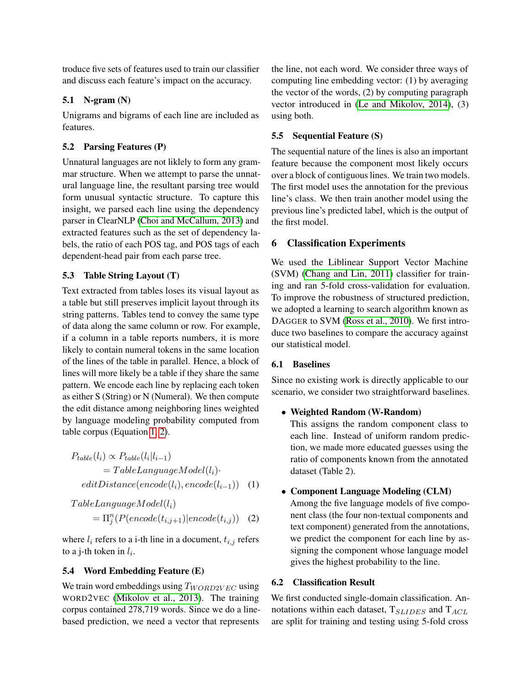troduce five sets of features used to train our classifier and discuss each feature's impact on the accuracy.

## 5.1 N-gram (N)

Unigrams and bigrams of each line are included as features.

## 5.2 Parsing Features (P)

Unnatural languages are not liklely to form any grammar structure. When we attempt to parse the unnatural language line, the resultant parsing tree would form unusual syntactic structure. To capture this insight, we parsed each line using the dependency parser in ClearNLP [\(Choi and McCallum, 2013\)](#page-8-12) and extracted features such as the set of dependency labels, the ratio of each POS tag, and POS tags of each dependent-head pair from each parse tree.

## 5.3 Table String Layout (T)

Text extracted from tables loses its visual layout as a table but still preserves implicit layout through its string patterns. Tables tend to convey the same type of data along the same column or row. For example, if a column in a table reports numbers, it is more likely to contain numeral tokens in the same location of the lines of the table in parallel. Hence, a block of lines will more likely be a table if they share the same pattern. We encode each line by replacing each token as either S (String) or N (Numeral). We then compute the edit distance among neighboring lines weighted by language modeling probability computed from table corpus (Equation [1,](#page-4-0) [2\)](#page-4-1).

$$
P_{table}(l_i) \propto P_{table}(l_i|l_{i-1})
$$
  
= TableLanguageModel(l\_i)\n
$$
editDistance(encode(l_i), encode(l_{i-1})) \quad (1)
$$

 $TableLanguageModel(l_i)$  $=\Pi_j^n(P(encode(t_{i,j+1})| encode(t_{i,j}))$  (2)

where  $l_i$  refers to a i-th line in a document,  $t_{i,j}$  refers to a j-th token in  $l_i$ .

## 5.4 Word Embedding Feature (E)

We train word embeddings using  $T_{WORD2VEC}$  using WORD2VEC [\(Mikolov et al., 2013\)](#page-8-13). The training corpus contained 278,719 words. Since we do a linebased prediction, we need a vector that represents

the line, not each word. We consider three ways of computing line embedding vector: (1) by averaging the vector of the words, (2) by computing paragraph vector introduced in [\(Le and Mikolov, 2014\)](#page-8-14), (3) using both.

## 5.5 Sequential Feature (S)

The sequential nature of the lines is also an important feature because the component most likely occurs over a block of contiguous lines. We train two models. The first model uses the annotation for the previous line's class. We then train another model using the previous line's predicted label, which is the output of the first model.

## 6 Classification Experiments

We used the Liblinear Support Vector Machine (SVM) [\(Chang and Lin, 2011\)](#page-8-15) classifier for training and ran 5-fold cross-validation for evaluation. To improve the robustness of structured prediction, we adopted a learning to search algorithm known as DAGGER to SVM [\(Ross et al., 2010\)](#page-8-16). We first introduce two baselines to compare the accuracy against our statistical model.

## 6.1 Baselines

Since no existing work is directly applicable to our scenario, we consider two straightforward baselines.

## • Weighted Random (W-Random)

This assigns the random component class to each line. Instead of uniform random prediction, we made more educated guesses using the ratio of components known from the annotated dataset (Table 2).

## <span id="page-4-1"></span><span id="page-4-0"></span>• Component Language Modeling (CLM)

Among the five language models of five component class (the four non-textual components and text component) generated from the annotations, we predict the component for each line by assigning the component whose language model gives the highest probability to the line.

## 6.2 Classification Result

We first conducted single-domain classification. Annotations within each dataset,  $T_{SLIDES}$  and  $T_{ACL}$ are split for training and testing using 5-fold cross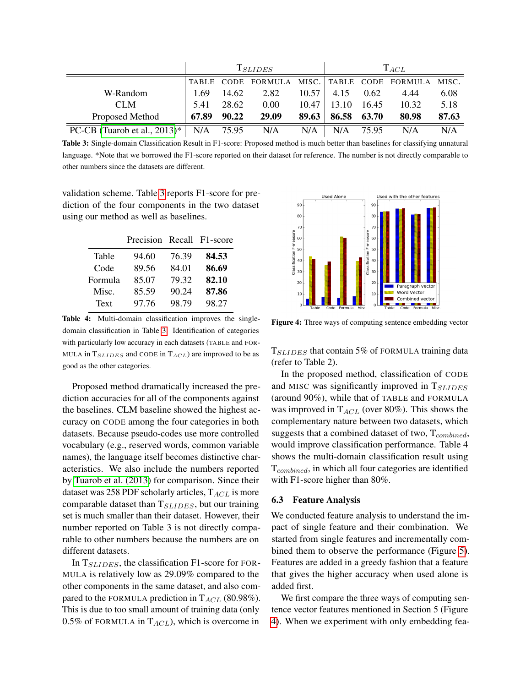|                                 | $T_{SLIDES}$ |       |                                                   | $T_{ACL}$ |             |       |       |       |
|---------------------------------|--------------|-------|---------------------------------------------------|-----------|-------------|-------|-------|-------|
|                                 |              |       | TABLE CODE FORMULA MISC. TABLE CODE FORMULA MISC. |           |             |       |       |       |
| W-Random                        | 1.69         | 14.62 | 2.82                                              | 10.57     | 4.15        | 0.62  | 4.44  | 6.08  |
| CLM                             | 5.41         | 28.62 | 0.00                                              | 10.47     | 13.10       | 16.45 | 10.32 | 5.18  |
| Proposed Method                 | 67.89        | 90.22 | 29.09                                             | 89.63     | 86.58 63.70 |       | 80.98 | 87.63 |
| PC-CB (Tuarob et al., $2013$ )* | N/A 75.95    |       | N/A                                               | N/A       | N/A         | 75.95 | N/A   | N/A   |

<span id="page-5-0"></span>Table 3: Single-domain Classification Result in F1-score: Proposed method is much better than baselines for classifying unnatural language. \*Note that we borrowed the F1-score reported on their dataset for reference. The number is not directly comparable to other numbers since the datasets are different.

validation scheme. Table [3](#page-5-0) reports F1-score for prediction of the four components in the two dataset using our method as well as baselines.

|         | Precision Recall F1-score |       |       |
|---------|---------------------------|-------|-------|
| Table   | 94.60                     | 76.39 | 84.53 |
| Code    | 89.56                     | 84.01 | 86.69 |
| Formula | 85.07                     | 79.32 | 82.10 |
| Misc.   | 85.59                     | 90.24 | 87.86 |
| Text    | 97.76                     | 98.79 | 98.27 |

Table 4: Multi-domain classification improves the singledomain classification in Table [3.](#page-5-0) Identification of categories with particularly low accuracy in each datasets (TABLE and FOR-MULA in  $T_{SLIDES}$  and CODE in  $T_{ACL}$ ) are improved to be as good as the other categories.

Proposed method dramatically increased the prediction accuracies for all of the components against the baselines. CLM baseline showed the highest accuracy on CODE among the four categories in both datasets. Because pseudo-codes use more controlled vocabulary (e.g., reserved words, common variable names), the language itself becomes distinctive characteristics. We also include the numbers reported by [Tuarob et al. \(2013\)](#page-9-2) for comparison. Since their dataset was 258 PDF scholarly articles,  $T_{ACL}$  is more comparable dataset than  $T_{SLIDES}$ , but our training set is much smaller than their dataset. However, their number reported on Table 3 is not directly comparable to other numbers because the numbers are on different datasets.

In  $T_{SLIDES}$ , the classification F1-score for FOR-MULA is relatively low as 29.09% compared to the other components in the same dataset, and also compared to the FORMULA prediction in  $T_{ACL}$  (80.98%). This is due to too small amount of training data (only 0.5% of FORMULA in  $T_{ACL}$ ), which is overcome in



<span id="page-5-1"></span>Figure 4: Three ways of computing sentence embedding vector

 $T_{SLIDES}$  that contain 5% of FORMULA training data (refer to Table 2).

In the proposed method, classification of CODE and MISC was significantly improved in  $T_{SLIDES}$ (around 90%), while that of TABLE and FORMULA was improved in  $T_{ACL}$  (over 80%). This shows the complementary nature between two datasets, which suggests that a combined dataset of two,  $T_{combined}$ , would improve classification performance. Table 4 shows the multi-domain classification result using  $T_{combined}$ , in which all four categories are identified with F1-score higher than 80%.

### 6.3 Feature Analysis

We conducted feature analysis to understand the impact of single feature and their combination. We started from single features and incrementally combined them to observe the performance (Figure [5\)](#page-6-0). Features are added in a greedy fashion that a feature that gives the higher accuracy when used alone is added first.

We first compare the three ways of computing sentence vector features mentioned in Section 5 (Figure [4\)](#page-5-1). When we experiment with only embedding fea-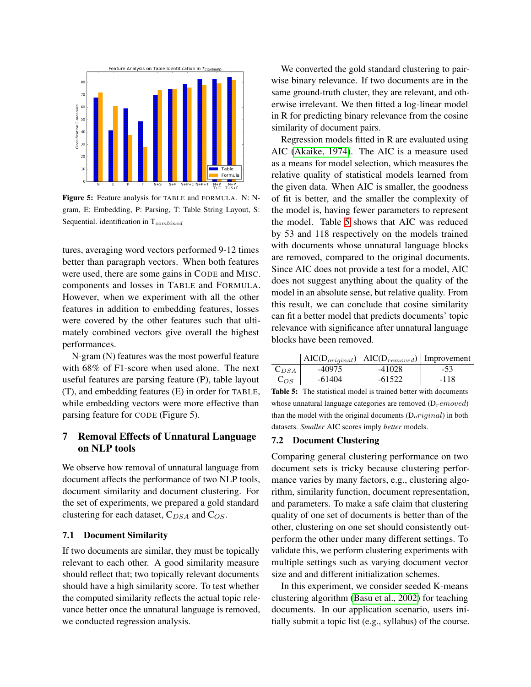

<span id="page-6-0"></span>Figure 5: Feature analysis for TABLE and FORMULA. N: Ngram, E: Embedding, P: Parsing, T: Table String Layout, S: Sequential. identification in  $T_{combined}$ 

tures, averaging word vectors performed 9-12 times better than paragraph vectors. When both features were used, there are some gains in CODE and MISC. components and losses in TABLE and FORMULA. However, when we experiment with all the other features in addition to embedding features, losses were covered by the other features such that ultimately combined vectors give overall the highest performances.

N-gram (N) features was the most powerful feature with 68% of F1-score when used alone. The next useful features are parsing feature (P), table layout (T), and embedding features (E) in order for TABLE, while embedding vectors were more effective than parsing feature for CODE (Figure 5).

# 7 Removal Effects of Unnatural Language on NLP tools

We observe how removal of unnatural language from document affects the performance of two NLP tools, document similarity and document clustering. For the set of experiments, we prepared a gold standard clustering for each dataset,  $C_{DSA}$  and  $C_{OS}$ .

## 7.1 Document Similarity

If two documents are similar, they must be topically relevant to each other. A good similarity measure should reflect that; two topically relevant documents should have a high similarity score. To test whether the computed similarity reflects the actual topic relevance better once the unnatural language is removed, we conducted regression analysis.

We converted the gold standard clustering to pairwise binary relevance. If two documents are in the same ground-truth cluster, they are relevant, and otherwise irrelevant. We then fitted a log-linear model in R for predicting binary relevance from the cosine similarity of document pairs.

Regression models fitted in R are evaluated using AIC [\(Akaike, 1974\)](#page-8-17). The AIC is a measure used as a means for model selection, which measures the relative quality of statistical models learned from the given data. When AIC is smaller, the goodness of fit is better, and the smaller the complexity of the model is, having fewer parameters to represent the model. Table [5](#page-6-1) shows that AIC was reduced by 53 and 118 respectively on the models trained with documents whose unnatural language blocks are removed, compared to the original documents. Since AIC does not provide a test for a model, AIC does not suggest anything about the quality of the model in an absolute sense, but relative quality. From this result, we can conclude that cosine similarity can fit a better model that predicts documents' topic relevance with significance after unnatural language blocks have been removed.

|           |        | $\text{AIC}(D_{original})$   AIC( $D_{removed}$ )   Improvement |        |
|-----------|--------|-----------------------------------------------------------------|--------|
| $C_{DSA}$ | -40975 | -41028                                                          | $-53$  |
| $C_{OS}$  | -61404 | $-61522$                                                        | $-118$ |

<span id="page-6-1"></span>Table 5: The statistical model is trained better with documents whose unnatural language categories are removed  $(D$ <sub>r</sub> emoved) than the model with the original documents  $(D<sub>o</sub>$ riginal) in both datasets. *Smaller* AIC scores imply *better* models.

#### 7.2 Document Clustering

Comparing general clustering performance on two document sets is tricky because clustering performance varies by many factors, e.g., clustering algorithm, similarity function, document representation, and parameters. To make a safe claim that clustering quality of one set of documents is better than of the other, clustering on one set should consistently outperform the other under many different settings. To validate this, we perform clustering experiments with multiple settings such as varying document vector size and and different initialization schemes.

In this experiment, we consider seeded K-means clustering algorithm [\(Basu et al., 2002\)](#page-8-18) for teaching documents. In our application scenario, users initially submit a topic list (e.g., syllabus) of the course.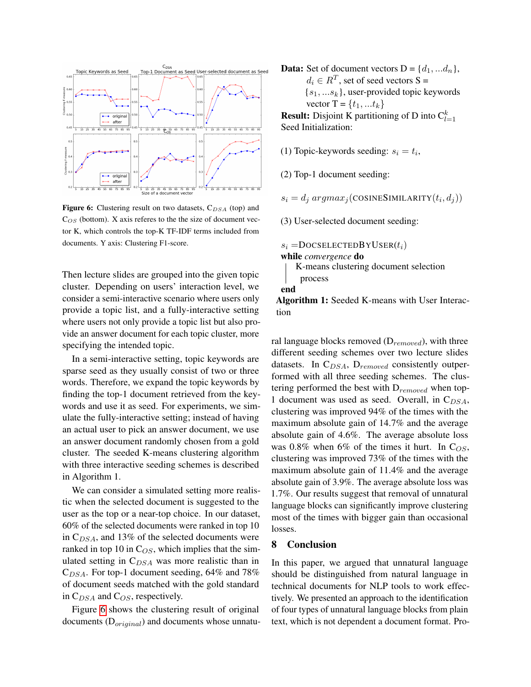

<span id="page-7-0"></span>**Figure 6:** Clustering result on two datasets,  $C_{DSA}$  (top) and  $C_{OS}$  (bottom). X axis referes to the the size of document vector K, which controls the top-K TF-IDF terms included from documents. Y axis: Clustering F1-score.

Then lecture slides are grouped into the given topic cluster. Depending on users' interaction level, we consider a semi-interactive scenario where users only provide a topic list, and a fully-interactive setting where users not only provide a topic list but also provide an answer document for each topic cluster, more specifying the intended topic.

In a semi-interactive setting, topic keywords are sparse seed as they usually consist of two or three words. Therefore, we expand the topic keywords by finding the top-1 document retrieved from the keywords and use it as seed. For experiments, we simulate the fully-interactive setting; instead of having an actual user to pick an answer document, we use an answer document randomly chosen from a gold cluster. The seeded K-means clustering algorithm with three interactive seeding schemes is described in Algorithm 1.

We can consider a simulated setting more realistic when the selected document is suggested to the user as the top or a near-top choice. In our dataset, 60% of the selected documents were ranked in top 10 in  $C_{DSA}$ , and 13% of the selected documents were ranked in top 10 in  $C_{OS}$ , which implies that the simulated setting in  $C_{DSA}$  was more realistic than in  $C_{DSA}$ . For top-1 document seeding, 64% and 78% of document seeds matched with the gold standard in  $C_{DSA}$  and  $C_{OS}$ , respectively.

Figure [6](#page-7-0) shows the clustering result of original documents  $(D_{original})$  and documents whose unnatu**Data:** Set of document vectors  $D = \{d_1, \ldots, d_n\},\$  $d_i \in R^T$ , set of seed vectors S =  ${s_1, \ldots s_k}$ , user-provided topic keywords vector  $T = \{t_1, ... t_k\}$ **Result:** Disjoint K partitioning of D into  $C_{l=1}^k$ Seed Initialization:

(1) Topic-keywords seeding:  $s_i = t_i$ ,

(2) Top-1 document seeding:

 $s_i = d_j argmax_j(\text{COSINESIMILARITY}(t_i, d_j))$ 

(3) User-selected document seeding:

 $s_i =$ DOCSELECTEDBYUSER $(t_i)$ 

while *convergence* do

K-means clustering document selection



end

Algorithm 1: Seeded K-means with User Interaction

ral language blocks removed  $(D_{removed})$ , with three different seeding schemes over two lecture slides datasets. In  $C_{DSA}$ ,  $D_{removed}$  consistently outperformed with all three seeding schemes. The clustering performed the best with  $D_{removed}$  when top-1 document was used as seed. Overall, in  $C_{DSA}$ , clustering was improved 94% of the times with the maximum absolute gain of 14.7% and the average absolute gain of 4.6%. The average absolute loss was 0.8% when 6% of the times it hurt. In  $C_{OS}$ , clustering was improved 73% of the times with the maximum absolute gain of 11.4% and the average absolute gain of 3.9%. The average absolute loss was 1.7%. Our results suggest that removal of unnatural language blocks can significantly improve clustering most of the times with bigger gain than occasional losses.

### 8 Conclusion

In this paper, we argued that unnatural language should be distinguished from natural language in technical documents for NLP tools to work effectively. We presented an approach to the identification of four types of unnatural language blocks from plain text, which is not dependent a document format. Pro-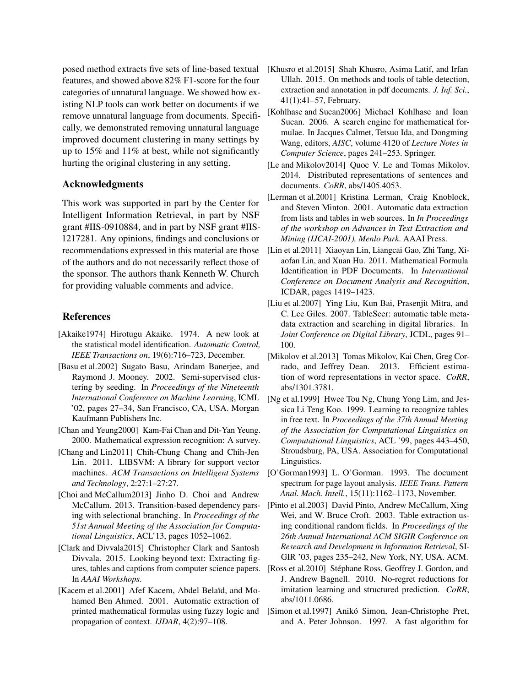posed method extracts five sets of line-based textual [Khusro et al.2015] Shah Khusro, Asima Latif, and Irfan features, and showed above 82% F1-score for the four categories of unnatural language. We showed how existing NLP tools can work better on documents if we remove unnatural language from documents. Specifically, we demonstrated removing unnatural language improved document clustering in many settings by up to 15% and 11% at best, while not significantly hurting the original clustering in any setting.

### Acknowledgments

This work was supported in part by the Center for Intelligent Information Retrieval, in part by NSF grant #IIS-0910884, and in part by NSF grant #IIS-1217281. Any opinions, findings and conclusions or recommendations expressed in this material are those of the authors and do not necessarily reflect those of the sponsor. The authors thank Kenneth W. Church for providing valuable comments and advice.

## References

- <span id="page-8-17"></span>[Akaike1974] Hirotugu Akaike. 1974. A new look at the statistical model identification. *Automatic Control, IEEE Transactions on*, 19(6):716–723, December.
- <span id="page-8-18"></span>[Basu et al.2002] Sugato Basu, Arindam Banerjee, and Raymond J. Mooney. 2002. Semi-supervised clustering by seeding. In *Proceedings of the Nineteenth International Conference on Machine Learning*, ICML '02, pages 27–34, San Francisco, CA, USA. Morgan Kaufmann Publishers Inc.
- <span id="page-8-10"></span>[Chan and Yeung2000] Kam-Fai Chan and Dit-Yan Yeung. 2000. Mathematical expression recognition: A survey.
- <span id="page-8-15"></span>[Chang and Lin2011] Chih-Chung Chang and Chih-Jen Lin. 2011. LIBSVM: A library for support vector machines. *ACM Transactions on Intelligent Systems and Technology*, 2:27:1–27:27.
- <span id="page-8-12"></span>[Choi and McCallum2013] Jinho D. Choi and Andrew McCallum. 2013. Transition-based dependency parsing with selectional branching. In *Proceedings of the 51st Annual Meeting of the Association for Computational Linguistics*, ACL'13, pages 1052–1062.
- <span id="page-8-6"></span>[Clark and Divvala2015] Christopher Clark and Santosh Divvala. 2015. Looking beyond text: Extracting figures, tables and captions from computer science papers. In *AAAI Workshops*.
- <span id="page-8-11"></span>[Kacem et al.2001] Afef Kacem, Abdel Belaïd, and Mohamed Ben Ahmed. 2001. Automatic extraction of printed mathematical formulas using fuzzy logic and propagation of context. *IJDAR*, 4(2):97–108.
- <span id="page-8-8"></span>Ullah. 2015. On methods and tools of table detection, extraction and annotation in pdf documents. *J. Inf. Sci.*, 41(1):41–57, February.
- <span id="page-8-2"></span>[Kohlhase and Sucan2006] Michael Kohlhase and Ioan Sucan. 2006. A search engine for mathematical formulae. In Jacques Calmet, Tetsuo Ida, and Dongming Wang, editors, *AISC*, volume 4120 of *Lecture Notes in Computer Science*, pages 241–253. Springer.
- <span id="page-8-14"></span>[Le and Mikolov2014] Quoc V. Le and Tomas Mikolov. 2014. Distributed representations of sentences and documents. *CoRR*, abs/1405.4053.
- <span id="page-8-5"></span>[Lerman et al.2001] Kristina Lerman, Craig Knoblock, and Steven Minton. 2001. Automatic data extraction from lists and tables in web sources. In *In Proceedings of the workshop on Advances in Text Extraction and Mining (IJCAI-2001), Menlo Park*. AAAI Press.
- <span id="page-8-9"></span>[Lin et al.2011] Xiaoyan Lin, Liangcai Gao, Zhi Tang, Xiaofan Lin, and Xuan Hu. 2011. Mathematical Formula Identification in PDF Documents. In *International Conference on Document Analysis and Recognition*, ICDAR, pages 1419–1423.
- <span id="page-8-7"></span>[Liu et al.2007] Ying Liu, Kun Bai, Prasenjit Mitra, and C. Lee Giles. 2007. TableSeer: automatic table metadata extraction and searching in digital libraries. In *Joint Conference on Digital Library*, JCDL, pages 91– 100.
- <span id="page-8-13"></span>[Mikolov et al.2013] Tomas Mikolov, Kai Chen, Greg Corrado, and Jeffrey Dean. 2013. Efficient estimation of word representations in vector space. *CoRR*, abs/1301.3781.
- <span id="page-8-3"></span>[Ng et al.1999] Hwee Tou Ng, Chung Yong Lim, and Jessica Li Teng Koo. 1999. Learning to recognize tables in free text. In *Proceedings of the 37th Annual Meeting of the Association for Computational Linguistics on Computational Linguistics*, ACL '99, pages 443–450, Stroudsburg, PA, USA. Association for Computational Linguistics.
- <span id="page-8-0"></span>[O'Gorman1993] L. O'Gorman. 1993. The document spectrum for page layout analysis. *IEEE Trans. Pattern Anal. Mach. Intell.*, 15(11):1162–1173, November.
- <span id="page-8-4"></span>[Pinto et al.2003] David Pinto, Andrew McCallum, Xing Wei, and W. Bruce Croft. 2003. Table extraction using conditional random fields. In *Proceedings of the 26th Annual International ACM SIGIR Conference on Research and Development in Informaion Retrieval*, SI-GIR '03, pages 235–242, New York, NY, USA. ACM.
- <span id="page-8-16"></span>[Ross et al.2010] Stéphane Ross, Geoffrey J. Gordon, and J. Andrew Bagnell. 2010. No-regret reductions for imitation learning and structured prediction. *CoRR*, abs/1011.0686.
- <span id="page-8-1"></span>[Simon et al.1997] Anikó Simon, Jean-Christophe Pret, and A. Peter Johnson. 1997. A fast algorithm for